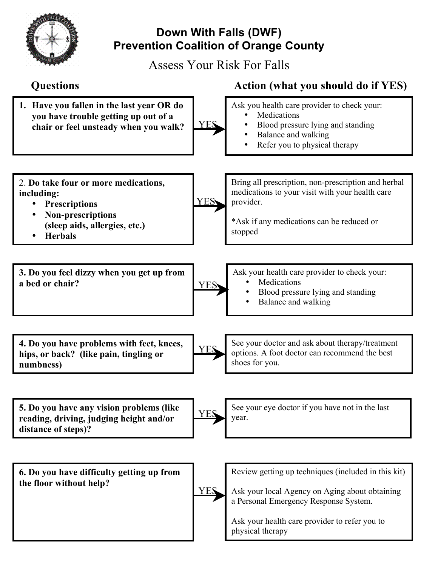

## **Down With Falls (DWF) Prevention Coalition of Orange County**

Assess Your Risk For Falls